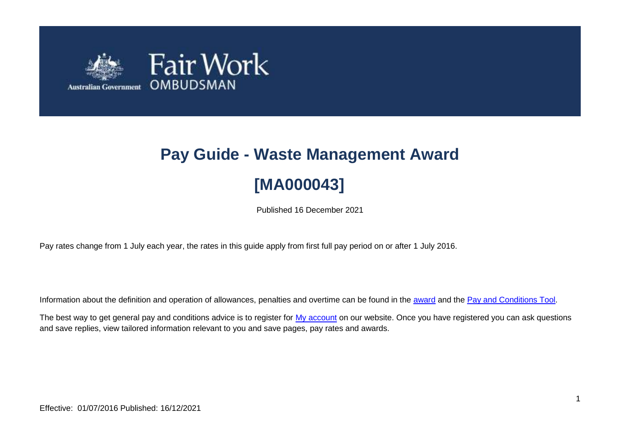

# **Pay Guide - Waste Management Award [MA000043]**

Published 16 December 2021

Pay rates change from 1 July each year, the rates in this guide apply from first full pay period on or after 1 July 2016.

Information about the definition and operation of allowances, penalties and overtime can be found in the [award](https://www.fairwork.gov.au/awards-and-agreements/awards/list-of-awards) and the [Pay and Conditions Tool.](https://calculate.fairwork.gov.au/)

The best way to get general pay and conditions advice is to register for [My account](https://www.fairwork.gov.au/my-account/registerpage.aspx) on our website. Once you have registered you can ask questions and save replies, view tailored information relevant to you and save pages, pay rates and awards.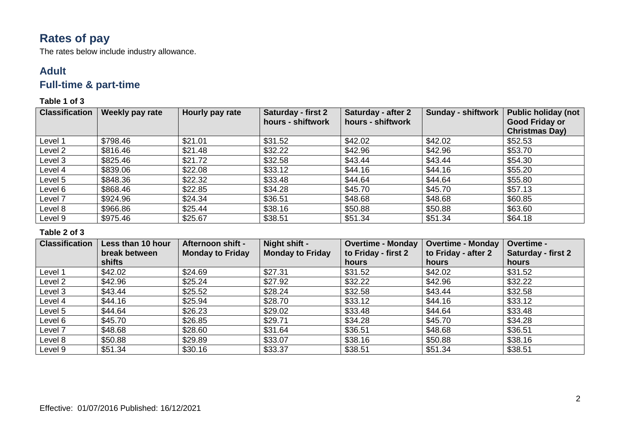# **Rates of pay**

The rates below include industry allowance.

### **Adult**

## **Full-time & part-time**

### **Table 1 of 3**

| <b>Classification</b> | Weekly pay rate | Hourly pay rate | <b>Saturday - first 2</b> | <b>Saturday - after 2</b> | <b>Sunday - shiftwork</b> | <b>Public holiday (not</b> |
|-----------------------|-----------------|-----------------|---------------------------|---------------------------|---------------------------|----------------------------|
|                       |                 |                 | hours - shiftwork         | hours - shiftwork         |                           | <b>Good Friday or</b>      |
|                       |                 |                 |                           |                           |                           | <b>Christmas Day)</b>      |
| Level 1               | \$798.46        | \$21.01         | \$31.52                   | \$42.02                   | \$42.02                   | \$52.53                    |
| Level 2               | \$816.46        | \$21.48         | \$32.22                   | \$42.96                   | \$42.96                   | \$53.70                    |
| Level 3               | \$825.46        | \$21.72         | \$32.58                   | \$43.44                   | \$43.44                   | \$54.30                    |
| Level 4               | \$839.06        | \$22.08         | \$33.12                   | \$44.16                   | \$44.16                   | \$55.20                    |
| Level 5               | \$848.36        | \$22.32         | \$33.48                   | \$44.64                   | \$44.64                   | \$55.80                    |
| Level 6               | \$868.46        | \$22.85         | \$34.28                   | \$45.70                   | \$45.70                   | \$57.13                    |
| Level 7               | \$924.96        | \$24.34         | \$36.51                   | \$48.68                   | \$48.68                   | \$60.85                    |
| Level 8               | \$966.86        | \$25.44         | \$38.16                   | \$50.88                   | \$50.88                   | \$63.60                    |
| Level 9               | \$975.46        | \$25.67         | \$38.51                   | \$51.34                   | \$51.34                   | \$64.18                    |

| <b>Classification</b> | Less than 10 hour | Afternoon shift -       | Night shift -           | <b>Overtime - Monday</b> | <b>Overtime - Monday</b> | <b>Overtime -</b>         |
|-----------------------|-------------------|-------------------------|-------------------------|--------------------------|--------------------------|---------------------------|
|                       | break between     | <b>Monday to Friday</b> | <b>Monday to Friday</b> | to Friday - first 2      | to Friday - after 2      | <b>Saturday - first 2</b> |
|                       | shifts            |                         |                         | hours                    | hours                    | hours                     |
| Level 1               | \$42.02           | \$24.69                 | \$27.31                 | \$31.52                  | \$42.02                  | \$31.52                   |
| Level 2               | \$42.96           | \$25.24                 | \$27.92                 | \$32.22                  | \$42.96                  | \$32.22                   |
| Level 3               | \$43.44           | \$25.52                 | \$28.24                 | \$32.58                  | \$43.44                  | \$32.58                   |
| Level 4               | \$44.16           | \$25.94                 | \$28.70                 | \$33.12                  | \$44.16                  | \$33.12                   |
| Level 5               | \$44.64           | \$26.23                 | \$29.02                 | \$33.48                  | \$44.64                  | \$33.48                   |
| Level 6               | \$45.70           | \$26.85                 | \$29.71                 | \$34.28                  | \$45.70                  | \$34.28                   |
| Level 7               | \$48.68           | \$28.60                 | \$31.64                 | \$36.51                  | \$48.68                  | \$36.51                   |
| Level 8               | \$50.88           | \$29.89                 | \$33.07                 | \$38.16                  | \$50.88                  | \$38.16                   |
| Level 9               | \$51.34           | \$30.16                 | \$33.37                 | \$38.51                  | \$51.34                  | \$38.51                   |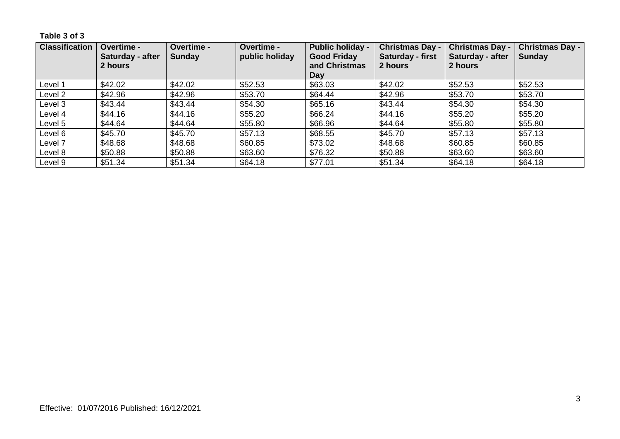**Table 3 of 3**

| <b>Classification</b> | <b>Overtime -</b><br>Saturday - after<br>2 hours | <b>Overtime -</b><br>Sunday | <b>Overtime -</b><br>public holiday | <b>Public holiday -</b><br><b>Good Friday</b><br>and Christmas<br>Dav | <b>Christmas Day -</b><br>Saturday - first<br>2 hours | <b>Christmas Day -</b><br>Saturday - after<br>2 hours | <b>Christmas Day -</b><br><b>Sunday</b> |
|-----------------------|--------------------------------------------------|-----------------------------|-------------------------------------|-----------------------------------------------------------------------|-------------------------------------------------------|-------------------------------------------------------|-----------------------------------------|
| Level 1               | \$42.02                                          | \$42.02                     | \$52.53                             | \$63.03                                                               | \$42.02                                               | \$52.53                                               | \$52.53                                 |
| Level 2               | \$42.96                                          | \$42.96                     | \$53.70                             | \$64.44                                                               | \$42.96                                               | \$53.70                                               | \$53.70                                 |
| Level 3               | \$43.44                                          | \$43.44                     | \$54.30                             | \$65.16                                                               | \$43.44                                               | \$54.30                                               | \$54.30                                 |
| Level 4               | \$44.16                                          | \$44.16                     | \$55.20                             | \$66.24                                                               | \$44.16                                               | \$55.20                                               | \$55.20                                 |
| Level 5               | \$44.64                                          | \$44.64                     | \$55.80                             | \$66.96                                                               | \$44.64                                               | \$55.80                                               | \$55.80                                 |
| Level 6               | \$45.70                                          | \$45.70                     | \$57.13                             | \$68.55                                                               | \$45.70                                               | \$57.13                                               | \$57.13                                 |
| Level 7               | \$48.68                                          | \$48.68                     | \$60.85                             | \$73.02                                                               | \$48.68                                               | \$60.85                                               | \$60.85                                 |
| Level 8               | \$50.88                                          | \$50.88                     | \$63.60                             | \$76.32                                                               | \$50.88                                               | \$63.60                                               | \$63.60                                 |
| Level 9               | \$51.34                                          | \$51.34                     | \$64.18                             | \$77.01                                                               | \$51.34                                               | \$64.18                                               | \$64.18                                 |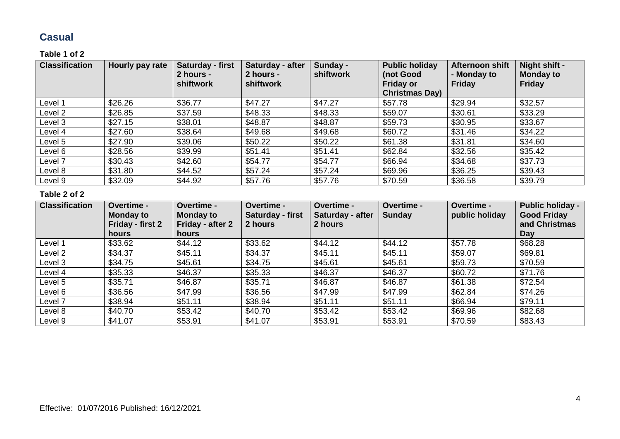### **Casual**

### **Table 1 of 2**

| <b>Classification</b> | Hourly pay rate | Saturday - first<br>2 hours -<br>shiftwork | Saturday - after<br>2 hours -<br>shiftwork | Sunday -<br>shiftwork | <b>Public holiday</b><br>(not Good<br><b>Friday or</b><br><b>Christmas Day)</b> | Afternoon shift<br>- Monday to<br><b>Friday</b> | Night shift -<br><b>Monday to</b><br><b>Friday</b> |
|-----------------------|-----------------|--------------------------------------------|--------------------------------------------|-----------------------|---------------------------------------------------------------------------------|-------------------------------------------------|----------------------------------------------------|
| Level 1               | \$26.26         | \$36.77                                    | \$47.27                                    | \$47.27               | \$57.78                                                                         | \$29.94                                         | \$32.57                                            |
| Level 2               | \$26.85         | \$37.59                                    | \$48.33                                    | \$48.33               | \$59.07                                                                         | \$30.61                                         | \$33.29                                            |
| Level 3               | \$27.15         | \$38.01                                    | \$48.87                                    | \$48.87               | \$59.73                                                                         | \$30.95                                         | \$33.67                                            |
| Level 4               | \$27.60         | \$38.64                                    | \$49.68                                    | \$49.68               | \$60.72                                                                         | \$31.46                                         | \$34.22                                            |
| Level 5               | \$27.90         | \$39.06                                    | \$50.22                                    | \$50.22               | \$61.38                                                                         | \$31.81                                         | \$34.60                                            |
| Level 6               | \$28.56         | \$39.99                                    | \$51.41                                    | \$51.41               | \$62.84                                                                         | \$32.56                                         | \$35.42                                            |
| Level 7               | \$30.43         | \$42.60                                    | \$54.77                                    | \$54.77               | \$66.94                                                                         | \$34.68                                         | \$37.73                                            |
| Level 8               | \$31.80         | \$44.52                                    | \$57.24                                    | \$57.24               | \$69.96                                                                         | \$36.25                                         | \$39.43                                            |
| Level 9               | \$32.09         | \$44.92                                    | \$57.76                                    | \$57.76               | \$70.59                                                                         | \$36.58                                         | \$39.79                                            |

| <b>Classification</b> | Overtime -<br><b>Monday to</b><br>Friday - first 2<br>hours | Overtime -<br><b>Monday to</b><br>Friday - after 2<br><b>hours</b> | <b>Overtime -</b><br>Saturday - first<br>2 hours | Overtime -<br>Saturday - after<br>2 hours | Overtime -<br><b>Sunday</b> | Overtime -<br>public holiday | <b>Public holiday -</b><br><b>Good Friday</b><br>and Christmas<br>Day |
|-----------------------|-------------------------------------------------------------|--------------------------------------------------------------------|--------------------------------------------------|-------------------------------------------|-----------------------------|------------------------------|-----------------------------------------------------------------------|
| Level 1               | \$33.62                                                     | \$44.12                                                            | \$33.62                                          | \$44.12                                   | \$44.12                     | \$57.78                      | \$68.28                                                               |
| Level 2               | \$34.37                                                     | \$45.11                                                            | \$34.37                                          | \$45.11                                   | \$45.11                     | \$59.07                      | \$69.81                                                               |
| Level 3               | \$34.75                                                     | \$45.61                                                            | \$34.75                                          | \$45.61                                   | \$45.61                     | \$59.73                      | \$70.59                                                               |
| Level 4               | \$35.33                                                     | \$46.37                                                            | \$35.33                                          | \$46.37                                   | \$46.37                     | \$60.72                      | \$71.76                                                               |
| Level 5               | \$35.71                                                     | \$46.87                                                            | \$35.71                                          | \$46.87                                   | \$46.87                     | \$61.38                      | \$72.54                                                               |
| Level 6               | \$36.56                                                     | \$47.99                                                            | \$36.56                                          | \$47.99                                   | \$47.99                     | \$62.84                      | \$74.26                                                               |
| Level 7               | \$38.94                                                     | \$51.11                                                            | \$38.94                                          | \$51.11                                   | \$51.11                     | \$66.94                      | \$79.11                                                               |
| Level 8               | \$40.70                                                     | \$53.42                                                            | \$40.70                                          | \$53.42                                   | \$53.42                     | \$69.96                      | \$82.68                                                               |
| Level 9               | \$41.07                                                     | \$53.91                                                            | \$41.07                                          | \$53.91                                   | \$53.91                     | \$70.59                      | \$83.43                                                               |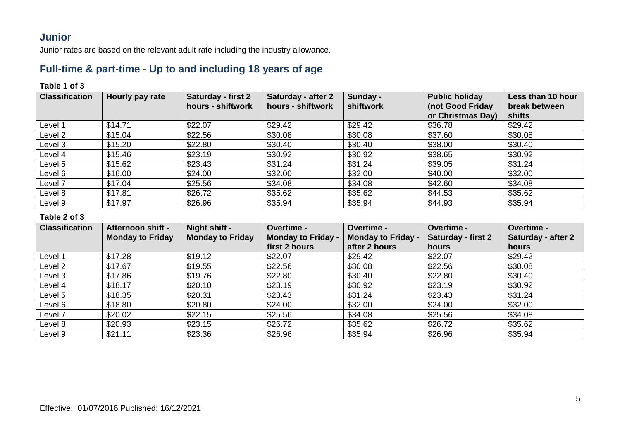### **Junior**

Junior rates are based on the relevant adult rate including the industry allowance.

### **Full-time & part-time - Up to and including 18 years of age**

### **Table 1 of 3**

| <b>Classification</b> | Hourly pay rate | Saturday - first 2<br>hours - shiftwork | Saturday - after 2<br>hours - shiftwork | Sunday -<br>shiftwork | <b>Public holiday</b><br>(not Good Friday<br>or Christmas Day) | Less than 10 hour<br>break between<br>shifts |
|-----------------------|-----------------|-----------------------------------------|-----------------------------------------|-----------------------|----------------------------------------------------------------|----------------------------------------------|
| Level 1               | \$14.71         | \$22.07                                 | \$29.42                                 | \$29.42               | \$36.78                                                        | \$29.42                                      |
| Level 2               | \$15.04         | \$22.56                                 | \$30.08                                 | \$30.08               | \$37.60                                                        | \$30.08                                      |
| Level 3               | \$15.20         | \$22.80                                 | \$30.40                                 | \$30.40               | \$38.00                                                        | \$30.40                                      |
| Level 4               | \$15.46         | \$23.19                                 | \$30.92                                 | \$30.92               | \$38.65                                                        | \$30.92                                      |
| Level 5               | \$15.62         | \$23.43                                 | \$31.24                                 | \$31.24               | \$39.05                                                        | \$31.24                                      |
| Level 6               | \$16.00         | \$24.00                                 | \$32.00                                 | \$32.00               | \$40.00                                                        | \$32.00                                      |
| Level 7               | \$17.04         | \$25.56                                 | \$34.08                                 | \$34.08               | \$42.60                                                        | \$34.08                                      |
| Level 8               | \$17.81         | \$26.72                                 | \$35.62                                 | \$35.62               | \$44.53                                                        | \$35.62                                      |
| Level 9               | \$17.97         | \$26.96                                 | \$35.94                                 | \$35.94               | \$44.93                                                        | \$35.94                                      |

| <b>Classification</b> | Afternoon shift -       | Night shift -           | Overtime -                | <b>Overtime -</b>         | Overtime -                | <b>Overtime -</b>  |
|-----------------------|-------------------------|-------------------------|---------------------------|---------------------------|---------------------------|--------------------|
|                       | <b>Monday to Friday</b> | <b>Monday to Friday</b> | <b>Monday to Friday -</b> | <b>Monday to Friday -</b> | <b>Saturday - first 2</b> | Saturday - after 2 |
|                       |                         |                         | first 2 hours             | after 2 hours             | hours                     | hours              |
| Level 1               | \$17.28                 | \$19.12                 | \$22.07                   | \$29.42                   | \$22.07                   | \$29.42            |
| Level 2               | \$17.67                 | \$19.55                 | \$22.56                   | \$30.08                   | \$22.56                   | \$30.08            |
| Level 3               | \$17.86                 | \$19.76                 | \$22.80                   | \$30.40                   | \$22.80                   | \$30.40            |
| Level 4               | \$18.17                 | \$20.10                 | \$23.19                   | \$30.92                   | \$23.19                   | \$30.92            |
| Level 5               | \$18.35                 | \$20.31                 | \$23.43                   | \$31.24                   | \$23.43                   | \$31.24            |
| Level 6               | \$18.80                 | \$20.80                 | \$24.00                   | \$32.00                   | \$24.00                   | \$32.00            |
| Level 7               | \$20.02                 | \$22.15                 | \$25.56                   | \$34.08                   | \$25.56                   | \$34.08            |
| Level 8               | \$20.93                 | \$23.15                 | \$26.72                   | \$35.62                   | \$26.72                   | \$35.62            |
| Level 9               | \$21.11                 | \$23.36                 | \$26.96                   | \$35.94                   | \$26.96                   | \$35.94            |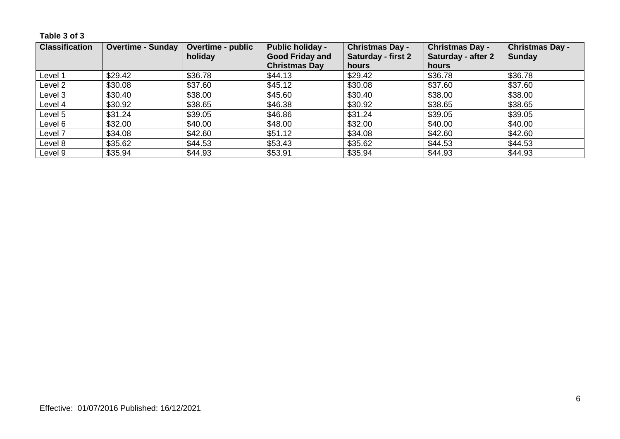### **Table 3 of 3**

| <b>Classification</b> | <b>Overtime - Sunday</b> | <b>Overtime - public</b><br>holiday | <b>Public holiday -</b><br><b>Good Friday and</b> | <b>Christmas Day -</b><br><b>Saturday - first 2</b> | <b>Christmas Day -</b><br><b>Saturday - after 2</b> | <b>Christmas Day -</b><br><b>Sunday</b> |
|-----------------------|--------------------------|-------------------------------------|---------------------------------------------------|-----------------------------------------------------|-----------------------------------------------------|-----------------------------------------|
|                       |                          |                                     | <b>Christmas Day</b>                              | hours                                               | hours                                               |                                         |
| Level 1               | \$29.42                  | \$36.78                             | \$44.13                                           | \$29.42                                             | \$36.78                                             | \$36.78                                 |
| Level 2               | \$30.08                  | \$37.60                             | \$45.12                                           | \$30.08                                             | \$37.60                                             | \$37.60                                 |
| Level 3               | \$30.40                  | \$38.00                             | \$45.60                                           | \$30.40                                             | \$38.00                                             | \$38.00                                 |
| Level 4               | \$30.92                  | \$38.65                             | \$46.38                                           | \$30.92                                             | \$38.65                                             | \$38.65                                 |
| Level 5               | \$31.24                  | \$39.05                             | \$46.86                                           | \$31.24                                             | \$39.05                                             | \$39.05                                 |
| Level 6               | \$32.00                  | \$40.00                             | \$48.00                                           | \$32.00                                             | \$40.00                                             | \$40.00                                 |
| Level 7               | \$34.08                  | \$42.60                             | \$51.12                                           | \$34.08                                             | \$42.60                                             | \$42.60                                 |
| Level 8               | \$35.62                  | \$44.53                             | \$53.43                                           | \$35.62                                             | \$44.53                                             | \$44.53                                 |
| Level 9               | \$35.94                  | \$44.93                             | \$53.91                                           | \$35.94                                             | \$44.93                                             | \$44.93                                 |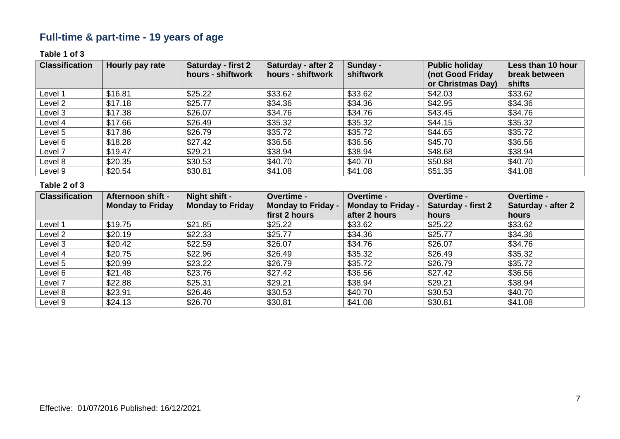# **Full-time & part-time - 19 years of age**

### **Table 1 of 3**

| <b>Classification</b> | Hourly pay rate | <b>Saturday - first 2</b><br>hours - shiftwork | Saturday - after 2<br>hours - shiftwork | Sunday -<br>shiftwork | <b>Public holiday</b><br>(not Good Friday<br>or Christmas Day) | Less than 10 hour<br>break between<br>shifts |
|-----------------------|-----------------|------------------------------------------------|-----------------------------------------|-----------------------|----------------------------------------------------------------|----------------------------------------------|
| Level 1               | \$16.81         | \$25.22                                        | \$33.62                                 | \$33.62               | \$42.03                                                        | \$33.62                                      |
| Level 2               | \$17.18         | \$25.77                                        | \$34.36                                 | \$34.36               | \$42.95                                                        | \$34.36                                      |
| Level 3               | \$17.38         | \$26.07                                        | \$34.76                                 | \$34.76               | \$43.45                                                        | \$34.76                                      |
| Level 4               | \$17.66         | \$26.49                                        | \$35.32                                 | \$35.32               | \$44.15                                                        | \$35.32                                      |
| Level 5               | \$17.86         | \$26.79                                        | \$35.72                                 | \$35.72               | \$44.65                                                        | \$35.72                                      |
| Level 6               | \$18.28         | \$27.42                                        | \$36.56                                 | \$36.56               | \$45.70                                                        | \$36.56                                      |
| Level 7               | \$19.47         | \$29.21                                        | \$38.94                                 | \$38.94               | \$48.68                                                        | \$38.94                                      |
| Level 8               | \$20.35         | \$30.53                                        | \$40.70                                 | \$40.70               | \$50.88                                                        | \$40.70                                      |
| Level 9               | \$20.54         | \$30.81                                        | \$41.08                                 | \$41.08               | \$51.35                                                        | \$41.08                                      |

| <b>Classification</b> | <b>Afternoon shift -</b> | Night shift -           | Overtime -                | <b>Overtime -</b>         | Overtime -                | Overtime -         |
|-----------------------|--------------------------|-------------------------|---------------------------|---------------------------|---------------------------|--------------------|
|                       | <b>Monday to Friday</b>  | <b>Monday to Friday</b> | <b>Monday to Friday -</b> | <b>Monday to Friday -</b> | <b>Saturday - first 2</b> | Saturday - after 2 |
|                       |                          |                         | first 2 hours             | after 2 hours             | hours                     | hours              |
| Level 1               | \$19.75                  | \$21.85                 | \$25.22                   | \$33.62                   | \$25.22                   | \$33.62            |
| Level 2               | \$20.19                  | \$22.33                 | \$25.77                   | \$34.36                   | \$25.77                   | \$34.36            |
| Level 3               | \$20.42                  | \$22.59                 | \$26.07                   | \$34.76                   | \$26.07                   | \$34.76            |
| Level 4               | \$20.75                  | \$22.96                 | \$26.49                   | \$35.32                   | \$26.49                   | \$35.32            |
| Level 5               | \$20.99                  | \$23.22                 | \$26.79                   | \$35.72                   | \$26.79                   | \$35.72            |
| Level 6               | \$21.48                  | \$23.76                 | \$27.42                   | \$36.56                   | \$27.42                   | \$36.56            |
| Level 7               | \$22.88                  | \$25.31                 | \$29.21                   | \$38.94                   | \$29.21                   | \$38.94            |
| Level 8               | \$23.91                  | \$26.46                 | \$30.53                   | \$40.70                   | \$30.53                   | \$40.70            |
| Level 9               | \$24.13                  | \$26.70                 | \$30.81                   | \$41.08                   | \$30.81                   | \$41.08            |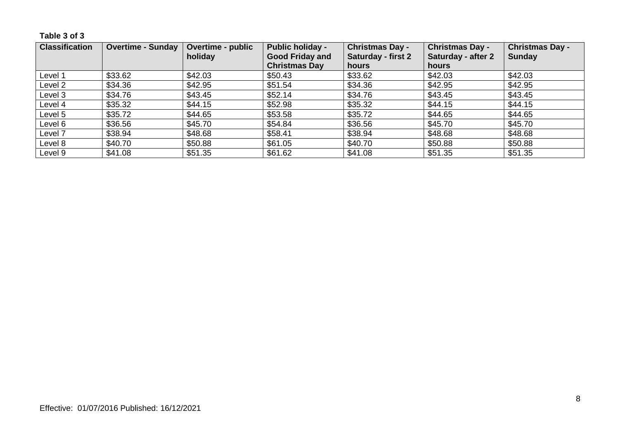**Table 3 of 3**

| <b>Classification</b> | <b>Overtime - Sunday</b> | <b>Overtime - public</b><br>holiday | <b>Public holiday -</b><br><b>Good Friday and</b> | <b>Christmas Day -</b><br><b>Saturday - first 2</b> | <b>Christmas Day -</b><br>Saturday - after 2 | <b>Christmas Day -</b><br><b>Sunday</b> |
|-----------------------|--------------------------|-------------------------------------|---------------------------------------------------|-----------------------------------------------------|----------------------------------------------|-----------------------------------------|
|                       |                          |                                     | <b>Christmas Day</b>                              | hours                                               | hours                                        |                                         |
| Level 1               | \$33.62                  | \$42.03                             | \$50.43                                           | \$33.62                                             | \$42.03                                      | \$42.03                                 |
| Level 2               | \$34.36                  | \$42.95                             | \$51.54                                           | \$34.36                                             | \$42.95                                      | \$42.95                                 |
| Level 3               | \$34.76                  | \$43.45                             | \$52.14                                           | \$34.76                                             | \$43.45                                      | \$43.45                                 |
| Level 4               | \$35.32                  | \$44.15                             | \$52.98                                           | \$35.32                                             | \$44.15                                      | \$44.15                                 |
| Level 5               | \$35.72                  | \$44.65                             | \$53.58                                           | \$35.72                                             | \$44.65                                      | \$44.65                                 |
| Level 6               | \$36.56                  | \$45.70                             | \$54.84                                           | \$36.56                                             | \$45.70                                      | \$45.70                                 |
| Level 7               | \$38.94                  | \$48.68                             | \$58.41                                           | \$38.94                                             | \$48.68                                      | \$48.68                                 |
| Level 8               | \$40.70                  | \$50.88                             | \$61.05                                           | \$40.70                                             | \$50.88                                      | \$50.88                                 |
| Level 9               | \$41.08                  | \$51.35                             | \$61.62                                           | \$41.08                                             | \$51.35                                      | \$51.35                                 |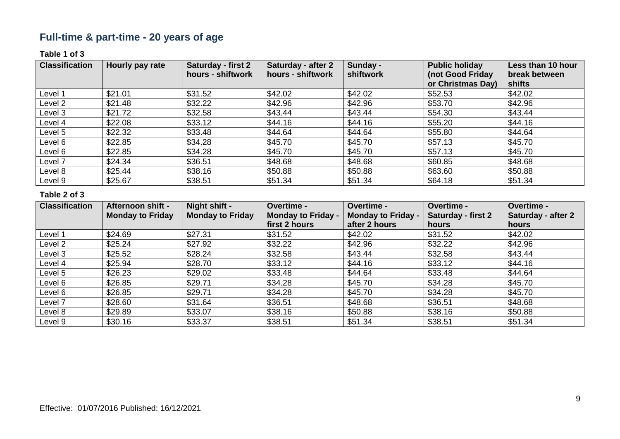# **Full-time & part-time - 20 years of age**

#### **Table 1 of 3**

| <b>Classification</b> | Hourly pay rate | Saturday - first 2<br>hours - shiftwork | <b>Saturday - after 2</b><br>hours - shiftwork | Sunday -<br>shiftwork | <b>Public holiday</b><br>(not Good Friday<br>or Christmas Day) | Less than 10 hour<br>break between<br>shifts |
|-----------------------|-----------------|-----------------------------------------|------------------------------------------------|-----------------------|----------------------------------------------------------------|----------------------------------------------|
| Level 1               | \$21.01         | \$31.52                                 | \$42.02                                        | \$42.02               | \$52.53                                                        | \$42.02                                      |
| Level 2               | \$21.48         | \$32.22                                 | \$42.96                                        | \$42.96               | \$53.70                                                        | \$42.96                                      |
| Level 3               | \$21.72         | \$32.58                                 | \$43.44                                        | \$43.44               | \$54.30                                                        | \$43.44                                      |
| Level 4               | \$22.08         | \$33.12                                 | \$44.16                                        | \$44.16               | \$55.20                                                        | \$44.16                                      |
| Level 5               | \$22.32         | \$33.48                                 | \$44.64                                        | \$44.64               | \$55.80                                                        | \$44.64                                      |
| Level 6               | \$22.85         | \$34.28                                 | \$45.70                                        | \$45.70               | \$57.13                                                        | \$45.70                                      |
| Level 6               | \$22.85         | \$34.28                                 | \$45.70                                        | \$45.70               | \$57.13                                                        | \$45.70                                      |
| Level 7               | \$24.34         | \$36.51                                 | \$48.68                                        | \$48.68               | \$60.85                                                        | \$48.68                                      |
| Level 8               | \$25.44         | \$38.16                                 | \$50.88                                        | \$50.88               | \$63.60                                                        | \$50.88                                      |
| Level 9               | \$25.67         | \$38.51                                 | \$51.34                                        | \$51.34               | \$64.18                                                        | \$51.34                                      |

| <b>Classification</b> | Afternoon shift -       | Night shift -           | Overtime -                | Overtime -                | Overtime -                | <b>Overtime -</b>         |
|-----------------------|-------------------------|-------------------------|---------------------------|---------------------------|---------------------------|---------------------------|
|                       | <b>Monday to Friday</b> | <b>Monday to Friday</b> | <b>Monday to Friday -</b> | <b>Monday to Friday -</b> | <b>Saturday - first 2</b> | <b>Saturday - after 2</b> |
|                       |                         |                         | first 2 hours             | after 2 hours             | hours                     | hours                     |
| Level 1               | \$24.69                 | \$27.31                 | \$31.52                   | \$42.02                   | \$31.52                   | \$42.02                   |
| Level 2               | \$25.24                 | \$27.92                 | \$32.22                   | \$42.96                   | \$32.22                   | \$42.96                   |
| Level 3               | \$25.52                 | \$28.24                 | \$32.58                   | \$43.44                   | \$32.58                   | \$43.44                   |
| Level 4               | \$25.94                 | \$28.70                 | \$33.12                   | \$44.16                   | \$33.12                   | \$44.16                   |
| Level 5               | \$26.23                 | \$29.02                 | \$33.48                   | \$44.64                   | \$33.48                   | \$44.64                   |
| Level 6               | \$26.85                 | \$29.71                 | \$34.28                   | \$45.70                   | \$34.28                   | \$45.70                   |
| Level 6               | \$26.85                 | \$29.71                 | \$34.28                   | \$45.70                   | \$34.28                   | \$45.70                   |
| Level 7               | \$28.60                 | \$31.64                 | \$36.51                   | \$48.68                   | \$36.51                   | \$48.68                   |
| Level 8               | \$29.89                 | \$33.07                 | \$38.16                   | \$50.88                   | \$38.16                   | \$50.88                   |
| Level 9               | \$30.16                 | \$33.37                 | \$38.51                   | \$51.34                   | \$38.51                   | \$51.34                   |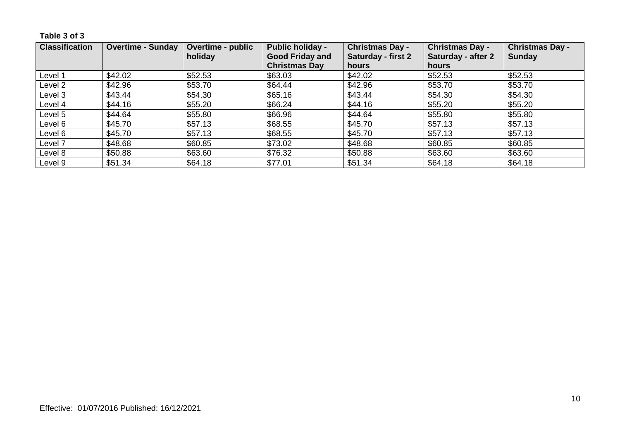### **Table 3 of 3**

| <b>Classification</b> | <b>Overtime - Sunday</b> | <b>Overtime - public</b><br>holiday | <b>Public holiday -</b><br><b>Good Friday and</b> | <b>Christmas Day -</b><br>Saturday - first 2 | <b>Christmas Day -</b><br><b>Saturday - after 2</b> | <b>Christmas Day -</b><br><b>Sunday</b> |
|-----------------------|--------------------------|-------------------------------------|---------------------------------------------------|----------------------------------------------|-----------------------------------------------------|-----------------------------------------|
|                       |                          |                                     | <b>Christmas Day</b>                              | hours                                        | hours                                               |                                         |
| Level 1               | \$42.02\$                | \$52.53                             | \$63.03                                           | \$42.02                                      | \$52.53                                             | \$52.53                                 |
| Level 2               | \$42.96                  | \$53.70                             | \$64.44                                           | \$42.96                                      | \$53.70                                             | \$53.70                                 |
| Level 3               | \$43.44                  | \$54.30                             | \$65.16                                           | \$43.44                                      | \$54.30                                             | \$54.30                                 |
| Level 4               | \$44.16                  | \$55.20                             | \$66.24                                           | \$44.16                                      | \$55.20                                             | \$55.20                                 |
| Level 5               | \$44.64                  | \$55.80                             | \$66.96                                           | \$44.64                                      | \$55.80                                             | \$55.80                                 |
| Level 6               | \$45.70                  | \$57.13                             | \$68.55                                           | \$45.70                                      | \$57.13                                             | \$57.13                                 |
| Level 6               | \$45.70                  | \$57.13                             | \$68.55                                           | \$45.70                                      | \$57.13                                             | \$57.13                                 |
| Level 7               | \$48.68                  | \$60.85                             | \$73.02                                           | \$48.68                                      | \$60.85                                             | \$60.85                                 |
| Level 8               | \$50.88                  | \$63.60                             | \$76.32                                           | \$50.88                                      | \$63.60                                             | \$63.60                                 |
| Level 9               | \$51.34                  | \$64.18                             | \$77.01                                           | \$51.34                                      | \$64.18                                             | \$64.18                                 |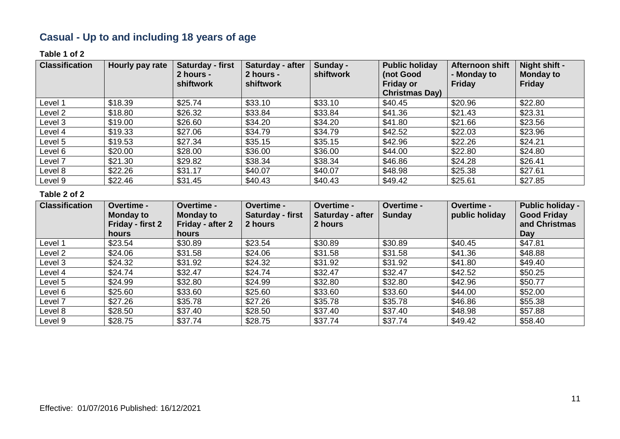# **Casual - Up to and including 18 years of age**

#### **Table 1 of 2**

| <b>Classification</b> | Hourly pay rate | Saturday - first<br>2 hours -<br>shiftwork | Saturday - after<br>2 hours -<br><b>shiftwork</b> | Sunday -<br>shiftwork | <b>Public holiday</b><br>(not Good<br><b>Friday or</b><br><b>Christmas Day)</b> | <b>Afternoon shift</b><br>- Monday to<br><b>Friday</b> | Night shift -<br><b>Monday to</b><br><b>Friday</b> |
|-----------------------|-----------------|--------------------------------------------|---------------------------------------------------|-----------------------|---------------------------------------------------------------------------------|--------------------------------------------------------|----------------------------------------------------|
| Level 1               | \$18.39         | \$25.74                                    | \$33.10                                           | \$33.10               | \$40.45                                                                         | \$20.96                                                | \$22.80                                            |
| Level 2               | \$18.80         | \$26.32                                    | \$33.84                                           | \$33.84               | \$41.36                                                                         | \$21.43                                                | \$23.31                                            |
| Level 3               | \$19.00         | \$26.60                                    | \$34.20                                           | \$34.20               | \$41.80                                                                         | \$21.66                                                | \$23.56                                            |
| Level 4               | \$19.33         | \$27.06                                    | \$34.79                                           | \$34.79               | \$42.52                                                                         | \$22.03                                                | \$23.96                                            |
| Level 5               | \$19.53         | \$27.34                                    | \$35.15                                           | \$35.15               | \$42.96                                                                         | \$22.26                                                | \$24.21                                            |
| Level 6               | \$20.00         | \$28.00                                    | \$36.00                                           | \$36.00               | \$44.00                                                                         | \$22.80                                                | \$24.80                                            |
| Level 7               | \$21.30         | \$29.82                                    | \$38.34                                           | \$38.34               | \$46.86                                                                         | \$24.28                                                | \$26.41                                            |
| Level 8               | \$22.26         | \$31.17                                    | \$40.07                                           | \$40.07               | \$48.98                                                                         | \$25.38                                                | \$27.61                                            |
| Level 9               | \$22.46         | \$31.45                                    | \$40.43                                           | \$40.43               | \$49.42                                                                         | \$25.61                                                | \$27.85                                            |

| <b>Classification</b> | Overtime -<br><b>Monday to</b><br>Friday - first 2 | Overtime -<br><b>Monday to</b><br>Friday - after 2 | Overtime -<br>Saturday - first<br>2 hours | <b>Overtime -</b><br>Saturday - after<br>2 hours | Overtime -<br><b>Sunday</b> | <b>Overtime -</b><br>public holiday | <b>Public holiday -</b><br><b>Good Friday</b><br>and Christmas |
|-----------------------|----------------------------------------------------|----------------------------------------------------|-------------------------------------------|--------------------------------------------------|-----------------------------|-------------------------------------|----------------------------------------------------------------|
|                       | hours                                              | <b>hours</b>                                       |                                           |                                                  |                             |                                     | Day                                                            |
| Level 1               | \$23.54                                            | \$30.89                                            | \$23.54                                   | \$30.89                                          | \$30.89                     | \$40.45                             | \$47.81                                                        |
| Level <sub>2</sub>    | \$24.06                                            | \$31.58                                            | \$24.06                                   | \$31.58                                          | \$31.58                     | \$41.36                             | \$48.88                                                        |
| Level 3               | \$24.32                                            | \$31.92                                            | \$24.32                                   | \$31.92                                          | \$31.92                     | \$41.80                             | \$49.40                                                        |
| Level 4               | \$24.74                                            | \$32.47                                            | \$24.74                                   | \$32.47                                          | \$32.47                     | \$42.52                             | \$50.25                                                        |
| Level 5               | \$24.99                                            | \$32.80                                            | \$24.99                                   | \$32.80                                          | \$32.80                     | \$42.96                             | \$50.77                                                        |
| Level 6               | \$25.60                                            | \$33.60                                            | \$25.60                                   | \$33.60                                          | \$33.60                     | \$44.00                             | \$52.00                                                        |
| Level 7               | \$27.26                                            | \$35.78                                            | \$27.26                                   | \$35.78                                          | \$35.78                     | \$46.86                             | \$55.38                                                        |
| Level 8               | \$28.50                                            | \$37.40                                            | \$28.50                                   | \$37.40                                          | \$37.40                     | \$48.98                             | \$57.88                                                        |
| Level 9               | \$28.75                                            | \$37.74                                            | \$28.75                                   | \$37.74                                          | \$37.74                     | \$49.42                             | \$58.40                                                        |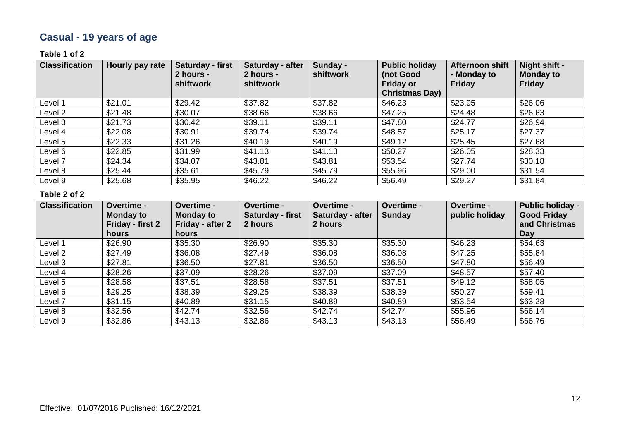# **Casual - 19 years of age**

### **Table 1 of 2**

| <b>Classification</b> | Hourly pay rate | Saturday - first<br>2 hours -<br>shiftwork | Saturday - after<br>2 hours -<br>shiftwork | Sunday -<br>shiftwork | <b>Public holiday</b><br>(not Good<br><b>Friday or</b><br><b>Christmas Day)</b> | Afternoon shift<br>- Monday to<br>Friday | Night shift -<br><b>Monday to</b><br><b>Friday</b> |
|-----------------------|-----------------|--------------------------------------------|--------------------------------------------|-----------------------|---------------------------------------------------------------------------------|------------------------------------------|----------------------------------------------------|
| Level 1               | \$21.01         | \$29.42                                    | \$37.82                                    | \$37.82               | \$46.23                                                                         | \$23.95                                  | \$26.06                                            |
| Level 2               | \$21.48         | \$30.07                                    | \$38.66                                    | \$38.66               | \$47.25                                                                         | \$24.48                                  | \$26.63                                            |
| Level 3               | \$21.73         | \$30.42                                    | \$39.11                                    | \$39.11               | \$47.80                                                                         | \$24.77                                  | \$26.94                                            |
| Level 4               | \$22.08         | \$30.91                                    | \$39.74                                    | \$39.74               | \$48.57                                                                         | \$25.17                                  | \$27.37                                            |
| Level 5               | \$22.33         | \$31.26                                    | \$40.19                                    | \$40.19               | \$49.12                                                                         | \$25.45                                  | \$27.68                                            |
| Level 6               | \$22.85         | \$31.99                                    | \$41.13                                    | \$41.13               | \$50.27                                                                         | \$26.05                                  | \$28.33                                            |
| Level 7               | \$24.34         | \$34.07                                    | \$43.81                                    | \$43.81               | \$53.54                                                                         | \$27.74                                  | \$30.18                                            |
| Level 8               | \$25.44         | \$35.61                                    | \$45.79                                    | \$45.79               | \$55.96                                                                         | \$29.00                                  | \$31.54                                            |
| Level 9               | \$25.68         | \$35.95                                    | \$46.22                                    | \$46.22               | \$56.49                                                                         | \$29.27                                  | \$31.84                                            |

| <b>Classification</b> | <b>Overtime -</b><br><b>Monday to</b><br>Friday - first 2<br>hours | <b>Overtime -</b><br>Monday to<br>Friday - after 2<br>hours | Overtime -<br><b>Saturday - first</b><br>2 hours | Overtime -<br>Saturday - after<br>2 hours | Overtime -<br><b>Sunday</b> | <b>Overtime -</b><br>public holiday | <b>Public holiday -</b><br><b>Good Friday</b><br>and Christmas<br>Day |
|-----------------------|--------------------------------------------------------------------|-------------------------------------------------------------|--------------------------------------------------|-------------------------------------------|-----------------------------|-------------------------------------|-----------------------------------------------------------------------|
| Level 1               | \$26.90                                                            | \$35.30                                                     | \$26.90                                          | \$35.30                                   | \$35.30                     | \$46.23                             | \$54.63                                                               |
| Level 2               | \$27.49                                                            | \$36.08                                                     | \$27.49                                          | \$36.08                                   | \$36.08                     | \$47.25                             | \$55.84                                                               |
| Level 3               | \$27.81                                                            | \$36.50                                                     | \$27.81                                          | \$36.50                                   | \$36.50                     | \$47.80                             | \$56.49                                                               |
| Level 4               | \$28.26                                                            | \$37.09                                                     | \$28.26                                          | \$37.09                                   | \$37.09                     | \$48.57                             | \$57.40                                                               |
| Level 5               | \$28.58                                                            | \$37.51                                                     | \$28.58                                          | \$37.51                                   | \$37.51                     | \$49.12                             | \$58.05                                                               |
| Level 6               | \$29.25                                                            | \$38.39                                                     | \$29.25                                          | \$38.39                                   | \$38.39                     | \$50.27                             | \$59.41                                                               |
| Level 7               | \$31.15                                                            | \$40.89                                                     | \$31.15                                          | \$40.89                                   | \$40.89                     | \$53.54                             | \$63.28                                                               |
| Level 8               | \$32.56                                                            | \$42.74                                                     | \$32.56                                          | \$42.74                                   | \$42.74                     | \$55.96                             | \$66.14                                                               |
| Level 9               | \$32.86                                                            | \$43.13                                                     | \$32.86                                          | \$43.13                                   | \$43.13                     | \$56.49                             | \$66.76                                                               |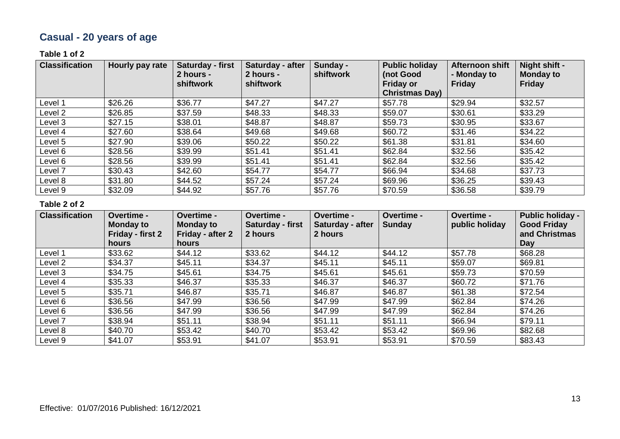# **Casual - 20 years of age**

### **Table 1 of 2**

| <b>Classification</b> | Hourly pay rate | Saturday - first<br>2 hours -<br>shiftwork | Saturday - after<br>2 hours -<br>shiftwork | Sunday -<br>shiftwork | <b>Public holiday</b><br>(not Good<br><b>Friday or</b><br><b>Christmas Day)</b> | Afternoon shift<br>- Monday to<br><b>Friday</b> | Night shift -<br><b>Monday to</b><br><b>Friday</b> |
|-----------------------|-----------------|--------------------------------------------|--------------------------------------------|-----------------------|---------------------------------------------------------------------------------|-------------------------------------------------|----------------------------------------------------|
| Level 1               | \$26.26         | \$36.77                                    | \$47.27                                    | \$47.27               | \$57.78                                                                         | \$29.94                                         | \$32.57                                            |
| Level 2               | \$26.85         | \$37.59                                    | \$48.33                                    | \$48.33               | \$59.07                                                                         | \$30.61                                         | \$33.29                                            |
| Level 3               | \$27.15         | \$38.01                                    | \$48.87                                    | \$48.87               | \$59.73                                                                         | \$30.95                                         | \$33.67                                            |
| Level 4               | \$27.60         | \$38.64                                    | \$49.68                                    | \$49.68               | \$60.72                                                                         | \$31.46                                         | \$34.22                                            |
| Level 5               | \$27.90         | \$39.06                                    | \$50.22                                    | \$50.22               | \$61.38                                                                         | \$31.81                                         | \$34.60                                            |
| Level 6               | \$28.56         | \$39.99                                    | \$51.41                                    | \$51.41               | \$62.84                                                                         | \$32.56                                         | \$35.42                                            |
| Level 6               | \$28.56         | \$39.99                                    | \$51.41                                    | \$51.41               | \$62.84                                                                         | \$32.56                                         | \$35.42                                            |
| Level <sub>7</sub>    | \$30.43         | \$42.60                                    | \$54.77                                    | \$54.77               | \$66.94                                                                         | \$34.68                                         | \$37.73                                            |
| Level 8               | \$31.80         | \$44.52                                    | \$57.24                                    | \$57.24               | \$69.96                                                                         | \$36.25                                         | \$39.43                                            |
| Level 9               | \$32.09         | \$44.92                                    | \$57.76                                    | \$57.76               | \$70.59                                                                         | \$36.58                                         | \$39.79                                            |

| <b>Classification</b> | Overtime -<br><b>Monday to</b><br>Friday - first 2<br>hours | Overtime -<br><b>Monday to</b><br>Friday - after 2<br>hours | Overtime -<br>Saturday - first<br>2 hours | Overtime -<br>Saturday - after<br>2 hours | Overtime -<br><b>Sunday</b> | Overtime -<br>public holiday | <b>Public holiday -</b><br><b>Good Friday</b><br>and Christmas<br>Day |
|-----------------------|-------------------------------------------------------------|-------------------------------------------------------------|-------------------------------------------|-------------------------------------------|-----------------------------|------------------------------|-----------------------------------------------------------------------|
| Level 1               | \$33.62                                                     | \$44.12                                                     | \$33.62                                   | \$44.12                                   | \$44.12                     | \$57.78                      | \$68.28                                                               |
| Level 2               | \$34.37                                                     | \$45.11                                                     | \$34.37                                   | \$45.11                                   | \$45.11                     | \$59.07                      | \$69.81                                                               |
| Level 3               | \$34.75                                                     | \$45.61                                                     | \$34.75                                   | \$45.61                                   | \$45.61                     | \$59.73                      | \$70.59                                                               |
| Level 4               | \$35.33                                                     | \$46.37                                                     | \$35.33                                   | \$46.37                                   | \$46.37                     | \$60.72                      | \$71.76                                                               |
| Level 5               | \$35.71                                                     | \$46.87                                                     | \$35.71                                   | \$46.87                                   | \$46.87                     | \$61.38                      | \$72.54                                                               |
| Level 6               | \$36.56                                                     | \$47.99                                                     | \$36.56                                   | \$47.99                                   | \$47.99                     | \$62.84                      | \$74.26                                                               |
| Level 6               | \$36.56                                                     | \$47.99                                                     | \$36.56                                   | \$47.99                                   | \$47.99                     | \$62.84                      | \$74.26                                                               |
| Level 7               | \$38.94                                                     | \$51.11                                                     | \$38.94                                   | \$51.11                                   | \$51.11                     | \$66.94                      | \$79.11                                                               |
| Level 8               | \$40.70                                                     | \$53.42                                                     | \$40.70                                   | \$53.42                                   | \$53.42                     | \$69.96                      | \$82.68                                                               |
| Level 9               | \$41.07                                                     | \$53.91                                                     | \$41.07                                   | \$53.91                                   | \$53.91                     | \$70.59                      | \$83.43                                                               |